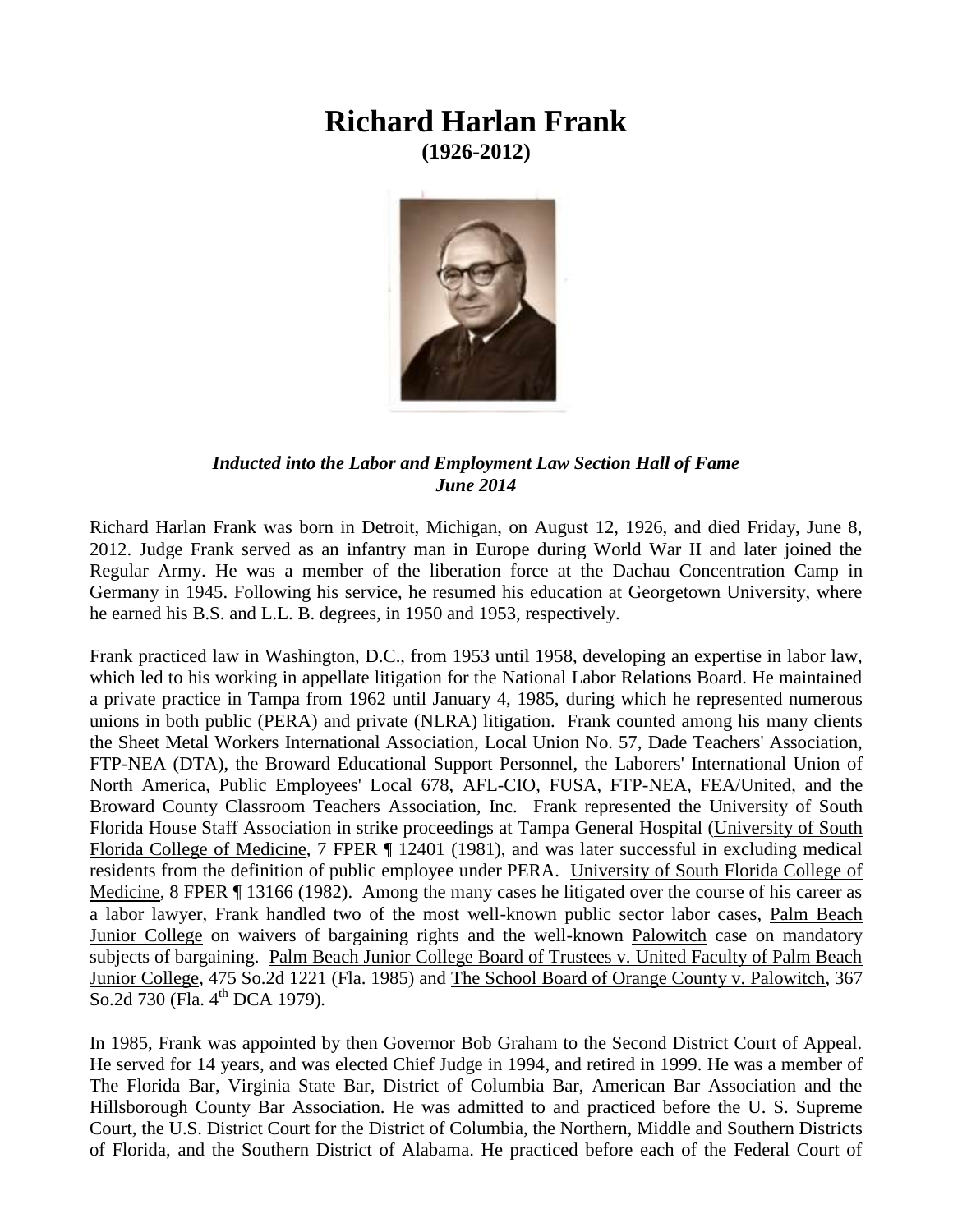## **Richard Harlan Frank (1926-2012)**



## *Inducted into the Labor and Employment Law Section Hall of Fame June 2014*

Richard Harlan Frank was born in Detroit, Michigan, on August 12, 1926, and died Friday, June 8, 2012. Judge Frank served as an infantry man in Europe during World War II and later joined the Regular Army. He was a member of the liberation force at the Dachau Concentration Camp in Germany in 1945. Following his service, he resumed his education at Georgetown University, where he earned his B.S. and L.L. B. degrees, in 1950 and 1953, respectively.

Frank practiced law in Washington, D.C., from 1953 until 1958, developing an expertise in labor law, which led to his working in appellate litigation for the National Labor Relations Board. He maintained a private practice in Tampa from 1962 until January 4, 1985, during which he represented numerous unions in both public (PERA) and private (NLRA) litigation. Frank counted among his many clients the Sheet Metal Workers International Association, Local Union No. 57, Dade Teachers' Association, FTP-NEA (DTA), the Broward Educational Support Personnel, the Laborers' International Union of North America, Public Employees' Local 678, AFL-CIO, FUSA, FTP-NEA, FEA/United, and the Broward County Classroom Teachers Association, Inc. Frank represented the University of South Florida House Staff Association in strike proceedings at Tampa General Hospital (University of South Florida College of Medicine, 7 FPER ¶ 12401 (1981), and was later successful in excluding medical residents from the definition of public employee under PERA. University of South Florida College of Medicine, 8 FPER ¶ 13166 (1982). Among the many cases he litigated over the course of his career as a labor lawyer, Frank handled two of the most well-known public sector labor cases, Palm Beach Junior College on waivers of bargaining rights and the well-known Palowitch case on mandatory subjects of bargaining. Palm Beach Junior College Board of Trustees v. United Faculty of Palm Beach Junior College, 475 So.2d 1221 (Fla. 1985) and The School Board of Orange County v. Palowitch, 367 So.2d 730 (Fla. 4<sup>th</sup> DCA 1979).

In 1985, Frank was appointed by then Governor Bob Graham to the Second District Court of Appeal. He served for 14 years, and was elected Chief Judge in 1994, and retired in 1999. He was a member of The Florida Bar, Virginia State Bar, District of Columbia Bar, American Bar Association and the Hillsborough County Bar Association. He was admitted to and practiced before the U. S. Supreme Court, the U.S. District Court for the District of Columbia, the Northern, Middle and Southern Districts of Florida, and the Southern District of Alabama. He practiced before each of the Federal Court of